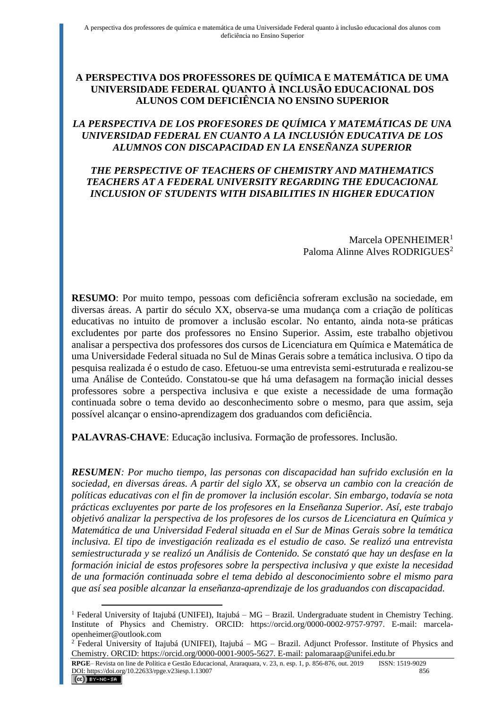# **A PERSPECTIVA DOS PROFESSORES DE QUÍMICA E MATEMÁTICA DE UMA UNIVERSIDADE FEDERAL QUANTO À INCLUSÃO EDUCACIONAL DOS ALUNOS COM DEFICIÊNCIA NO ENSINO SUPERIOR**

# *LA PERSPECTIVA DE LOS PROFESORES DE QUÍMICA Y MATEMÁTICAS DE UNA UNIVERSIDAD FEDERAL EN CUANTO A LA INCLUSIÓN EDUCATIVA DE LOS ALUMNOS CON DISCAPACIDAD EN LA ENSEÑANZA SUPERIOR*

## *THE PERSPECTIVE OF TEACHERS OF CHEMISTRY AND MATHEMATICS TEACHERS AT A FEDERAL UNIVERSITY REGARDING THE EDUCACIONAL INCLUSION OF STUDENTS WITH DISABILITIES IN HIGHER EDUCATION*

Marcela OPENHEIMER<sup>1</sup> Paloma Alinne Alves RODRIGUES<sup>2</sup>

**RESUMO**: Por muito tempo, pessoas com deficiência sofreram exclusão na sociedade, em diversas áreas. A partir do século XX, observa-se uma mudança com a criação de políticas educativas no intuito de promover a inclusão escolar. No entanto, ainda nota-se práticas excludentes por parte dos professores no Ensino Superior. Assim, este trabalho objetivou analisar a perspectiva dos professores dos cursos de Licenciatura em Química e Matemática de uma Universidade Federal situada no Sul de Minas Gerais sobre a temática inclusiva. O tipo da pesquisa realizada é o estudo de caso. Efetuou-se uma entrevista semi-estruturada e realizou-se uma Análise de Conteúdo. Constatou-se que há uma defasagem na formação inicial desses professores sobre a perspectiva inclusiva e que existe a necessidade de uma formação continuada sobre o tema devido ao desconhecimento sobre o mesmo, para que assim, seja possível alcançar o ensino-aprendizagem dos graduandos com deficiência.

**PALAVRAS-CHAVE**: Educação inclusiva. Formação de professores. Inclusão.

*RESUMEN: Por mucho tiempo, las personas con discapacidad han sufrido exclusión en la sociedad, en diversas áreas. A partir del siglo XX, se observa un cambio con la creación de políticas educativas con el fin de promover la inclusión escolar. Sin embargo, todavía se nota prácticas excluyentes por parte de los profesores en la Enseñanza Superior. Así, este trabajo objetivó analizar la perspectiva de los profesores de los cursos de Licenciatura en Química y Matemática de una Universidad Federal situada en el Sur de Minas Gerais sobre la temática inclusiva. El tipo de investigación realizada es el estudio de caso. Se realizó una entrevista semiestructurada y se realizó un Análisis de Contenido. Se constató que hay un desfase en la formación inicial de estos profesores sobre la perspectiva inclusiva y que existe la necesidad de una formación continuada sobre el tema debido al desconocimiento sobre el mismo para que así sea posible alcanzar la enseñanza-aprendizaje de los graduandos con discapacidad.*

<sup>1</sup> Federal University of Itajubá (UNIFEI), Itajubá – MG – Brazil. Undergraduate student in Chemistry Teching. Institute of Physics and Chemistry. ORCID: https://orcid.org/0000-0002-9757-9797. E-mail: marcelaopenheimer@outlook.com

<sup>2</sup> Federal University of Itajubá (UNIFEI), Itajubá – MG – Brazil. Adjunct Professor. Institute of Physics and Chemistry. ORCID: https://orcid.org/0000-0001-9005-5627. E-mail: palomaraap@unifei.edu.br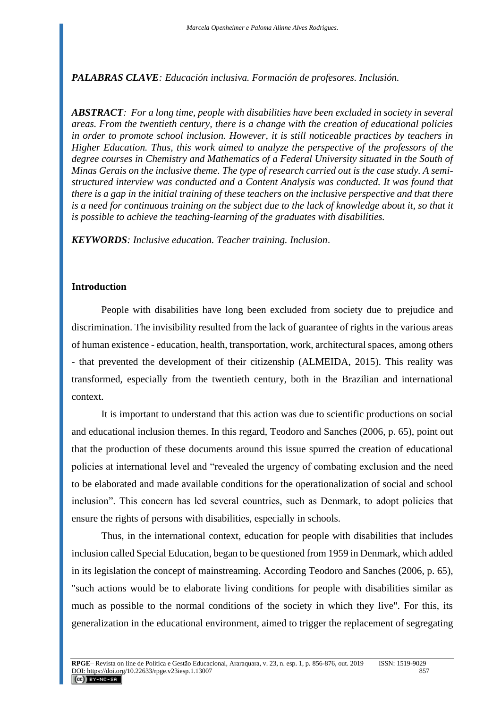*PALABRAS CLAVE: Educación inclusiva. Formación de profesores. Inclusión.*

*ABSTRACT: For a long time, people with disabilities have been excluded in society in several areas. From the twentieth century, there is a change with the creation of educational policies in order to promote school inclusion. However, it is still noticeable practices by teachers in Higher Education. Thus, this work aimed to analyze the perspective of the professors of the degree courses in Chemistry and Mathematics of a Federal University situated in the South of Minas Gerais on the inclusive theme. The type of research carried out is the case study. A semistructured interview was conducted and a Content Analysis was conducted. It was found that there is a gap in the initial training of these teachers on the inclusive perspective and that there*  is a need for continuous training on the subject due to the lack of knowledge about it, so that it *is possible to achieve the teaching-learning of the graduates with disabilities.*

*KEYWORDS: Inclusive education. Teacher training. Inclusion*.

## **Introduction**

People with disabilities have long been excluded from society due to prejudice and discrimination. The invisibility resulted from the lack of guarantee of rights in the various areas of human existence - education, health, transportation, work, architectural spaces, among others - that prevented the development of their citizenship (ALMEIDA, 2015). This reality was transformed, especially from the twentieth century, both in the Brazilian and international context.

It is important to understand that this action was due to scientific productions on social and educational inclusion themes. In this regard, Teodoro and Sanches (2006, p. 65), point out that the production of these documents around this issue spurred the creation of educational policies at international level and "revealed the urgency of combating exclusion and the need to be elaborated and made available conditions for the operationalization of social and school inclusion". This concern has led several countries, such as Denmark, to adopt policies that ensure the rights of persons with disabilities, especially in schools.

Thus, in the international context, education for people with disabilities that includes inclusion called Special Education, began to be questioned from 1959 in Denmark, which added in its legislation the concept of mainstreaming. According Teodoro and Sanches (2006, p. 65), "such actions would be to elaborate living conditions for people with disabilities similar as much as possible to the normal conditions of the society in which they live". For this, its generalization in the educational environment, aimed to trigger the replacement of segregating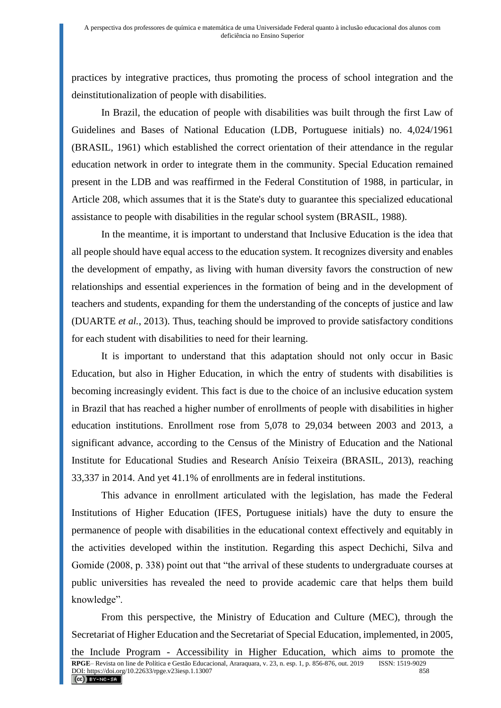practices by integrative practices, thus promoting the process of school integration and the deinstitutionalization of people with disabilities.

In Brazil, the education of people with disabilities was built through the first Law of Guidelines and Bases of National Education (LDB, Portuguese initials) no. 4,024/1961 (BRASIL, 1961) which established the correct orientation of their attendance in the regular education network in order to integrate them in the community. Special Education remained present in the LDB and was reaffirmed in the Federal Constitution of 1988, in particular, in Article 208, which assumes that it is the State's duty to guarantee this specialized educational assistance to people with disabilities in the regular school system (BRASIL, 1988).

In the meantime, it is important to understand that Inclusive Education is the idea that all people should have equal access to the education system. It recognizes diversity and enables the development of empathy, as living with human diversity favors the construction of new relationships and essential experiences in the formation of being and in the development of teachers and students, expanding for them the understanding of the concepts of justice and law (DUARTE *et al.*, 2013). Thus, teaching should be improved to provide satisfactory conditions for each student with disabilities to need for their learning.

It is important to understand that this adaptation should not only occur in Basic Education, but also in Higher Education, in which the entry of students with disabilities is becoming increasingly evident. This fact is due to the choice of an inclusive education system in Brazil that has reached a higher number of enrollments of people with disabilities in higher education institutions. Enrollment rose from 5,078 to 29,034 between 2003 and 2013, a significant advance, according to the Census of the Ministry of Education and the National Institute for Educational Studies and Research Anísio Teixeira (BRASIL, 2013), reaching 33,337 in 2014. And yet 41.1% of enrollments are in federal institutions.

This advance in enrollment articulated with the legislation, has made the Federal Institutions of Higher Education (IFES, Portuguese initials) have the duty to ensure the permanence of people with disabilities in the educational context effectively and equitably in the activities developed within the institution. Regarding this aspect Dechichi, Silva and Gomide (2008, p. 338) point out that "the arrival of these students to undergraduate courses at public universities has revealed the need to provide academic care that helps them build knowledge".

From this perspective, the Ministry of Education and Culture (MEC), through the Secretariat of Higher Education and the Secretariat of Special Education, implemented, in 2005,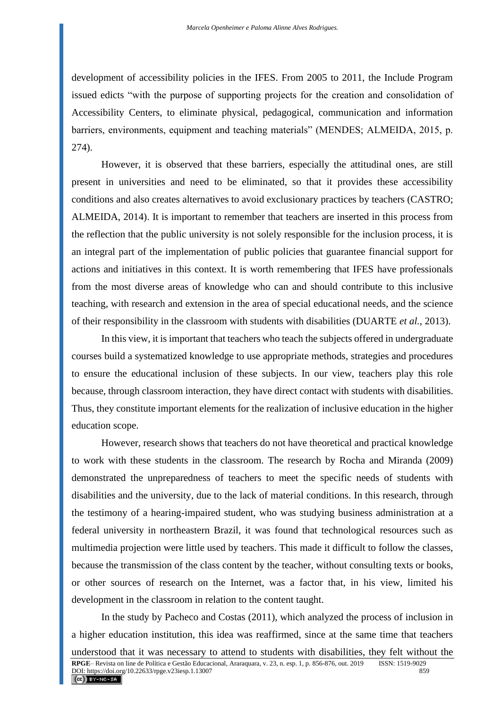development of accessibility policies in the IFES. From 2005 to 2011, the Include Program issued edicts "with the purpose of supporting projects for the creation and consolidation of Accessibility Centers, to eliminate physical, pedagogical, communication and information barriers, environments, equipment and teaching materials" (MENDES; ALMEIDA, 2015, p. 274).

However, it is observed that these barriers, especially the attitudinal ones, are still present in universities and need to be eliminated, so that it provides these accessibility conditions and also creates alternatives to avoid exclusionary practices by teachers (CASTRO; ALMEIDA, 2014). It is important to remember that teachers are inserted in this process from the reflection that the public university is not solely responsible for the inclusion process, it is an integral part of the implementation of public policies that guarantee financial support for actions and initiatives in this context. It is worth remembering that IFES have professionals from the most diverse areas of knowledge who can and should contribute to this inclusive teaching, with research and extension in the area of special educational needs, and the science of their responsibility in the classroom with students with disabilities (DUARTE *et al.*, 2013).

In this view, it is important that teachers who teach the subjects offered in undergraduate courses build a systematized knowledge to use appropriate methods, strategies and procedures to ensure the educational inclusion of these subjects. In our view, teachers play this role because, through classroom interaction, they have direct contact with students with disabilities. Thus, they constitute important elements for the realization of inclusive education in the higher education scope.

However, research shows that teachers do not have theoretical and practical knowledge to work with these students in the classroom. The research by Rocha and Miranda (2009) demonstrated the unpreparedness of teachers to meet the specific needs of students with disabilities and the university, due to the lack of material conditions. In this research, through the testimony of a hearing-impaired student, who was studying business administration at a federal university in northeastern Brazil, it was found that technological resources such as multimedia projection were little used by teachers. This made it difficult to follow the classes, because the transmission of the class content by the teacher, without consulting texts or books, or other sources of research on the Internet, was a factor that, in his view, limited his development in the classroom in relation to the content taught.

In the study by Pacheco and Costas (2011), which analyzed the process of inclusion in a higher education institution, this idea was reaffirmed, since at the same time that teachers understood that it was necessary to attend to students with disabilities, they felt without the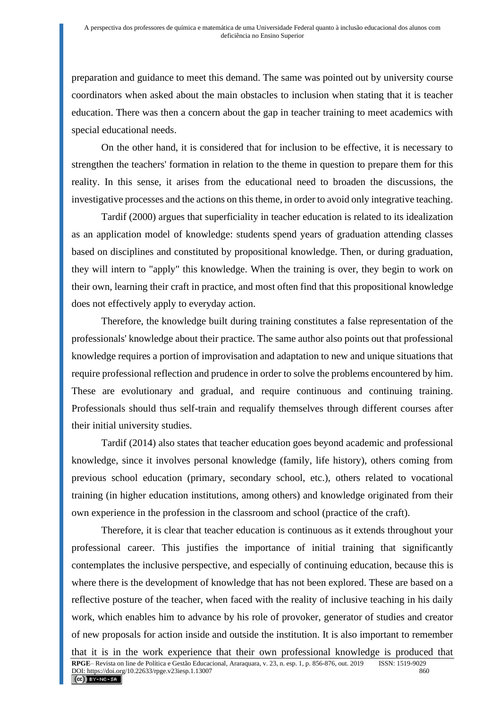preparation and guidance to meet this demand. The same was pointed out by university course coordinators when asked about the main obstacles to inclusion when stating that it is teacher education. There was then a concern about the gap in teacher training to meet academics with special educational needs.

On the other hand, it is considered that for inclusion to be effective, it is necessary to strengthen the teachers' formation in relation to the theme in question to prepare them for this reality. In this sense, it arises from the educational need to broaden the discussions, the investigative processes and the actions on this theme, in order to avoid only integrative teaching.

Tardif (2000) argues that superficiality in teacher education is related to its idealization as an application model of knowledge: students spend years of graduation attending classes based on disciplines and constituted by propositional knowledge. Then, or during graduation, they will intern to "apply" this knowledge. When the training is over, they begin to work on their own, learning their craft in practice, and most often find that this propositional knowledge does not effectively apply to everyday action.

Therefore, the knowledge built during training constitutes a false representation of the professionals' knowledge about their practice. The same author also points out that professional knowledge requires a portion of improvisation and adaptation to new and unique situations that require professional reflection and prudence in order to solve the problems encountered by him. These are evolutionary and gradual, and require continuous and continuing training. Professionals should thus self-train and requalify themselves through different courses after their initial university studies.

Tardif (2014) also states that teacher education goes beyond academic and professional knowledge, since it involves personal knowledge (family, life history), others coming from previous school education (primary, secondary school, etc.), others related to vocational training (in higher education institutions, among others) and knowledge originated from their own experience in the profession in the classroom and school (practice of the craft).

Therefore, it is clear that teacher education is continuous as it extends throughout your professional career. This justifies the importance of initial training that significantly contemplates the inclusive perspective, and especially of continuing education, because this is where there is the development of knowledge that has not been explored. These are based on a reflective posture of the teacher, when faced with the reality of inclusive teaching in his daily work, which enables him to advance by his role of provoker, generator of studies and creator of new proposals for action inside and outside the institution. It is also important to remember that it is in the work experience that their own professional knowledge is produced that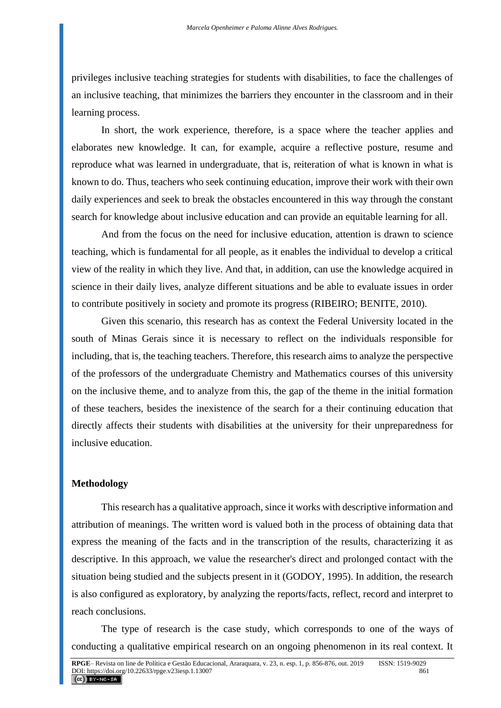privileges inclusive teaching strategies for students with disabilities, to face the challenges of an inclusive teaching, that minimizes the barriers they encounter in the classroom and in their learning process.

In short, the work experience, therefore, is a space where the teacher applies and elaborates new knowledge. It can, for example, acquire a reflective posture, resume and reproduce what was learned in undergraduate, that is, reiteration of what is known in what is known to do. Thus, teachers who seek continuing education, improve their work with their own daily experiences and seek to break the obstacles encountered in this way through the constant search for knowledge about inclusive education and can provide an equitable learning for all.

And from the focus on the need for inclusive education, attention is drawn to science teaching, which is fundamental for all people, as it enables the individual to develop a critical view of the reality in which they live. And that, in addition, can use the knowledge acquired in science in their daily lives, analyze different situations and be able to evaluate issues in order to contribute positively in society and promote its progress (RIBEIRO; BENITE, 2010).

Given this scenario, this research has as context the Federal University located in the south of Minas Gerais since it is necessary to reflect on the individuals responsible for including, that is, the teaching teachers. Therefore, this research aims to analyze the perspective of the professors of the undergraduate Chemistry and Mathematics courses of this university on the inclusive theme, and to analyze from this, the gap of the theme in the initial formation of these teachers, besides the inexistence of the search for a their continuing education that directly affects their students with disabilities at the university for their unpreparedness for inclusive education.

## **Methodology**

This research has a qualitative approach, since it works with descriptive information and attribution of meanings. The written word is valued both in the process of obtaining data that express the meaning of the facts and in the transcription of the results, characterizing it as descriptive. In this approach, we value the researcher's direct and prolonged contact with the situation being studied and the subjects present in it (GODOY, 1995). In addition, the research is also configured as exploratory, by analyzing the reports/facts, reflect, record and interpret to reach conclusions.

The type of research is the case study, which corresponds to one of the ways of conducting a qualitative empirical research on an ongoing phenomenon in its real context. It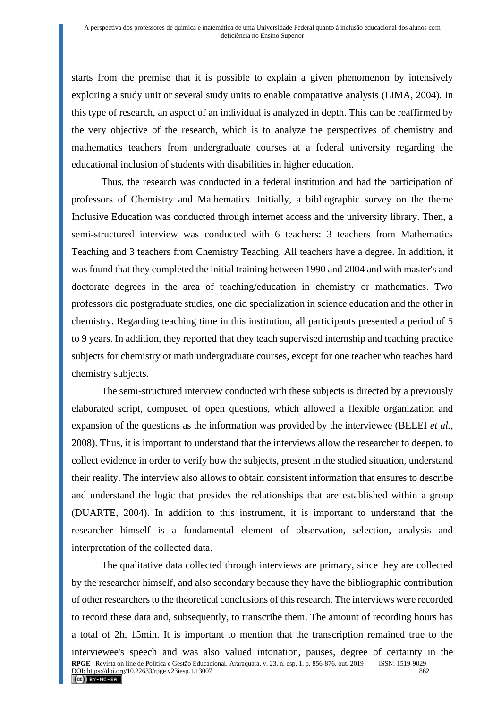starts from the premise that it is possible to explain a given phenomenon by intensively exploring a study unit or several study units to enable comparative analysis (LIMA, 2004). In this type of research, an aspect of an individual is analyzed in depth. This can be reaffirmed by the very objective of the research, which is to analyze the perspectives of chemistry and mathematics teachers from undergraduate courses at a federal university regarding the educational inclusion of students with disabilities in higher education.

Thus, the research was conducted in a federal institution and had the participation of professors of Chemistry and Mathematics. Initially, a bibliographic survey on the theme Inclusive Education was conducted through internet access and the university library. Then, a semi-structured interview was conducted with 6 teachers: 3 teachers from Mathematics Teaching and 3 teachers from Chemistry Teaching. All teachers have a degree. In addition, it was found that they completed the initial training between 1990 and 2004 and with master's and doctorate degrees in the area of teaching/education in chemistry or mathematics. Two professors did postgraduate studies, one did specialization in science education and the other in chemistry. Regarding teaching time in this institution, all participants presented a period of 5 to 9 years. In addition, they reported that they teach supervised internship and teaching practice subjects for chemistry or math undergraduate courses, except for one teacher who teaches hard chemistry subjects.

The semi-structured interview conducted with these subjects is directed by a previously elaborated script, composed of open questions, which allowed a flexible organization and expansion of the questions as the information was provided by the interviewee (BELEI *et al.*, 2008). Thus, it is important to understand that the interviews allow the researcher to deepen, to collect evidence in order to verify how the subjects, present in the studied situation, understand their reality. The interview also allows to obtain consistent information that ensures to describe and understand the logic that presides the relationships that are established within a group (DUARTE, 2004). In addition to this instrument, it is important to understand that the researcher himself is a fundamental element of observation, selection, analysis and interpretation of the collected data.

The qualitative data collected through interviews are primary, since they are collected by the researcher himself, and also secondary because they have the bibliographic contribution of other researchers to the theoretical conclusions of this research. The interviews were recorded to record these data and, subsequently, to transcribe them. The amount of recording hours has a total of 2h, 15min. It is important to mention that the transcription remained true to the interviewee's speech and was also valued intonation, pauses, degree of certainty in the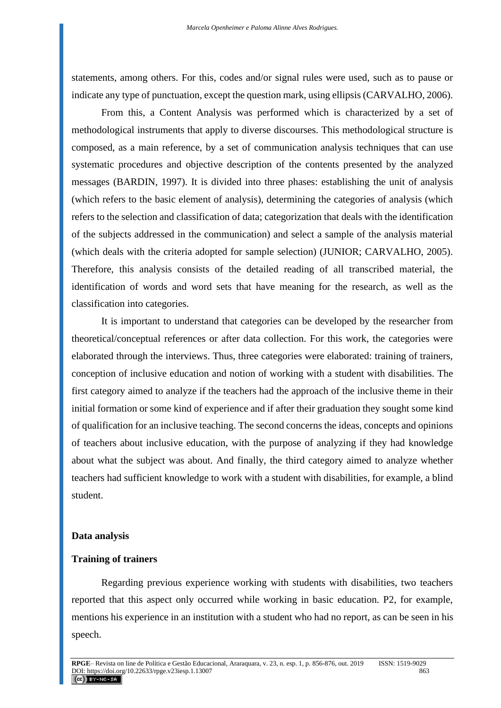statements, among others. For this, codes and/or signal rules were used, such as to pause or indicate any type of punctuation, except the question mark, using ellipsis (CARVALHO, 2006).

From this, a Content Analysis was performed which is characterized by a set of methodological instruments that apply to diverse discourses. This methodological structure is composed, as a main reference, by a set of communication analysis techniques that can use systematic procedures and objective description of the contents presented by the analyzed messages (BARDIN, 1997). It is divided into three phases: establishing the unit of analysis (which refers to the basic element of analysis), determining the categories of analysis (which refers to the selection and classification of data; categorization that deals with the identification of the subjects addressed in the communication) and select a sample of the analysis material (which deals with the criteria adopted for sample selection) (JUNIOR; CARVALHO, 2005). Therefore, this analysis consists of the detailed reading of all transcribed material, the identification of words and word sets that have meaning for the research, as well as the classification into categories.

It is important to understand that categories can be developed by the researcher from theoretical/conceptual references or after data collection. For this work, the categories were elaborated through the interviews. Thus, three categories were elaborated: training of trainers, conception of inclusive education and notion of working with a student with disabilities. The first category aimed to analyze if the teachers had the approach of the inclusive theme in their initial formation or some kind of experience and if after their graduation they sought some kind of qualification for an inclusive teaching. The second concerns the ideas, concepts and opinions of teachers about inclusive education, with the purpose of analyzing if they had knowledge about what the subject was about. And finally, the third category aimed to analyze whether teachers had sufficient knowledge to work with a student with disabilities, for example, a blind student.

#### **Data analysis**

## **Training of trainers**

Regarding previous experience working with students with disabilities, two teachers reported that this aspect only occurred while working in basic education. P2, for example, mentions his experience in an institution with a student who had no report, as can be seen in his speech.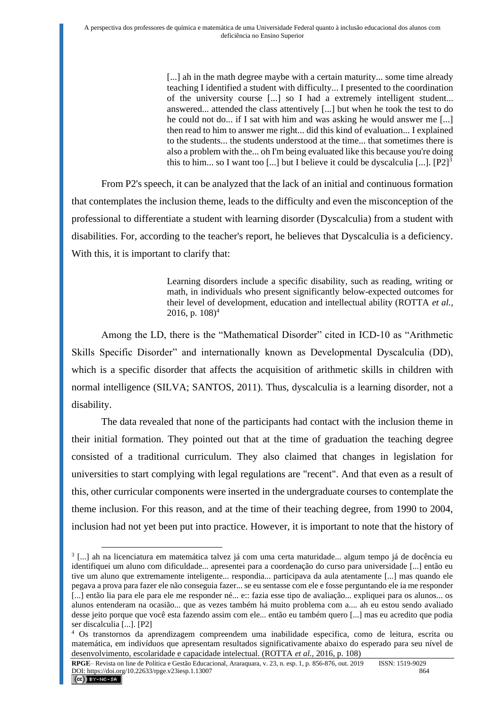[...] ah in the math degree maybe with a certain maturity... some time already teaching I identified a student with difficulty... I presented to the coordination of the university course [...] so I had a extremely intelligent student... answered... attended the class attentively [...] but when he took the test to do he could not do... if I sat with him and was asking he would answer me [...] then read to him to answer me right... did this kind of evaluation... I explained to the students... the students understood at the time... that sometimes there is also a problem with the... oh I'm being evaluated like this because you're doing this to him... so I want too [...] but I believe it could be dyscalculia  $[\dots]$ .  $[P2]^3$ 

From P2's speech, it can be analyzed that the lack of an initial and continuous formation that contemplates the inclusion theme, leads to the difficulty and even the misconception of the professional to differentiate a student with learning disorder (Dyscalculia) from a student with disabilities. For, according to the teacher's report, he believes that Dyscalculia is a deficiency. With this, it is important to clarify that:

> Learning disorders include a specific disability, such as reading, writing or math, in individuals who present significantly below-expected outcomes for their level of development, education and intellectual ability (ROTTA *et al.*, 2016, p.  $108$ <sup>4</sup>

Among the LD, there is the "Mathematical Disorder" cited in ICD-10 as "Arithmetic Skills Specific Disorder" and internationally known as Developmental Dyscalculia (DD), which is a specific disorder that affects the acquisition of arithmetic skills in children with normal intelligence (SILVA; SANTOS, 2011). Thus, dyscalculia is a learning disorder, not a disability.

The data revealed that none of the participants had contact with the inclusion theme in their initial formation. They pointed out that at the time of graduation the teaching degree consisted of a traditional curriculum. They also claimed that changes in legislation for universities to start complying with legal regulations are "recent". And that even as a result of this, other curricular components were inserted in the undergraduate courses to contemplate the theme inclusion. For this reason, and at the time of their teaching degree, from 1990 to 2004, inclusion had not yet been put into practice. However, it is important to note that the history of

**RPGE**– Revista on line de Política e Gestão Educacional, Araraquara, v. 23, n. esp. 1, p. 856-876, out. 2019 ISSN: 1519-9029 DOI: https://doi.org/10.22633/rpge.v23iesp.1.13007 864  $(Cc)$  BY-NC-SA

<sup>&</sup>lt;sup>3</sup> [...] ah na licenciatura em matemática talvez já com uma certa maturidade... algum tempo já de docência eu identifiquei um aluno com dificuldade... apresentei para a coordenação do curso para universidade [...] então eu tive um aluno que extremamente inteligente... respondia... participava da aula atentamente [...] mas quando ele pegava a prova para fazer ele não conseguia fazer... se eu sentasse com ele e fosse perguntando ele ia me responder [...] então lia para ele para ele me responder né... e:: fazia esse tipo de avaliação... expliquei para os alunos... os alunos entenderam na ocasião... que as vezes também há muito problema com a.... ah eu estou sendo avaliado desse jeito porque que você esta fazendo assim com ele... então eu também quero [...] mas eu acredito que podia ser discalculia [...]. [P2]

<sup>4</sup> Os transtornos da aprendizagem compreendem uma inabilidade especifica, como de leitura, escrita ou matemática, em indivíduos que apresentam resultados significativamente abaixo do esperado para seu nível de desenvolvimento, escolaridade e capacidade intelectual. (ROTTA *et al.,* 2016, p. 108)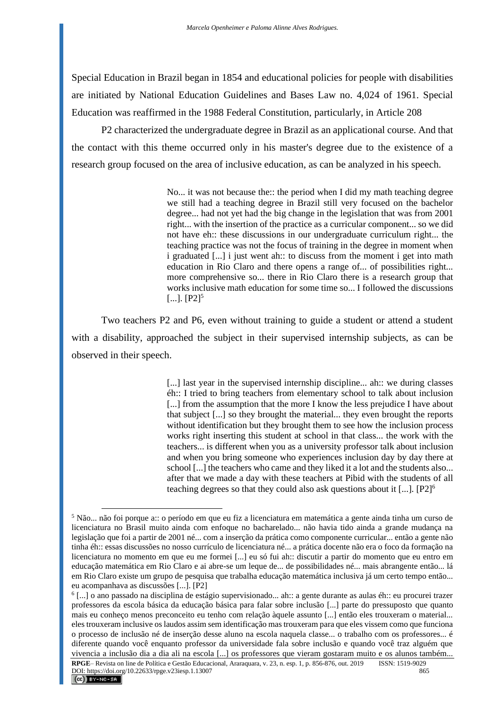Special Education in Brazil began in 1854 and educational policies for people with disabilities are initiated by National Education Guidelines and Bases Law no. 4,024 of 1961. Special Education was reaffirmed in the 1988 Federal Constitution, particularly, in Article 208

P2 characterized the undergraduate degree in Brazil as an applicational course. And that the contact with this theme occurred only in his master's degree due to the existence of a research group focused on the area of inclusive education, as can be analyzed in his speech.

> No... it was not because the:: the period when I did my math teaching degree we still had a teaching degree in Brazil still very focused on the bachelor degree... had not yet had the big change in the legislation that was from 2001 right... with the insertion of the practice as a curricular component... so we did not have eh:: these discussions in our undergraduate curriculum right... the teaching practice was not the focus of training in the degree in moment when i graduated [...] i just went ah:: to discuss from the moment i get into math education in Rio Claro and there opens a range of... of possibilities right... more comprehensive so... there in Rio Claro there is a research group that works inclusive math education for some time so... I followed the discussions  $[...]$ .  $[P2]^{5}$

Two teachers P2 and P6, even without training to guide a student or attend a student with a disability, approached the subject in their supervised internship subjects, as can be observed in their speech.

> [...] last year in the supervised internship discipline... ah:: we during classes éh:: I tried to bring teachers from elementary school to talk about inclusion [...] from the assumption that the more I know the less prejudice I have about that subject [...] so they brought the material... they even brought the reports without identification but they brought them to see how the inclusion process works right inserting this student at school in that class... the work with the teachers... is different when you as a university professor talk about inclusion and when you bring someone who experiences inclusion day by day there at school [...] the teachers who came and they liked it a lot and the students also... after that we made a day with these teachers at Pibid with the students of all teaching degrees so that they could also ask questions about it [...]. [P2]<sup>6</sup>

<sup>5</sup> Não... não foi porque a:: o período em que eu fiz a licenciatura em matemática a gente ainda tinha um curso de licenciatura no Brasil muito ainda com enfoque no bacharelado... não havia tido ainda a grande mudança na legislação que foi a partir de 2001 né... com a inserção da prática como componente curricular... então a gente não tinha éh:: essas discussões no nosso currículo de licenciatura né... a prática docente não era o foco da formação na licenciatura no momento em que eu me formei [...] eu só fui ah:: discutir a partir do momento que eu entro em educação matemática em Rio Claro e ai abre-se um leque de... de possibilidades né... mais abrangente então... lá em Rio Claro existe um grupo de pesquisa que trabalha educação matemática inclusiva já um certo tempo então... eu acompanhava as discussões [...]. [P2]

<sup>6</sup> [...] o ano passado na disciplina de estágio supervisionado... ah:: a gente durante as aulas éh:: eu procurei trazer professores da escola básica da educação básica para falar sobre inclusão [...] parte do pressuposto que quanto mais eu conheço menos preconceito eu tenho com relação àquele assunto [...] então eles trouxeram o material... eles trouxeram inclusive os laudos assim sem identificação mas trouxeram para que eles vissem como que funciona o processo de inclusão né de inserção desse aluno na escola naquela classe... o trabalho com os professores... é diferente quando você enquanto professor da universidade fala sobre inclusão e quando você traz alguém que vivencia a inclusão dia a dia ali na escola [...] os professores que vieram gostaram muito e os alunos também...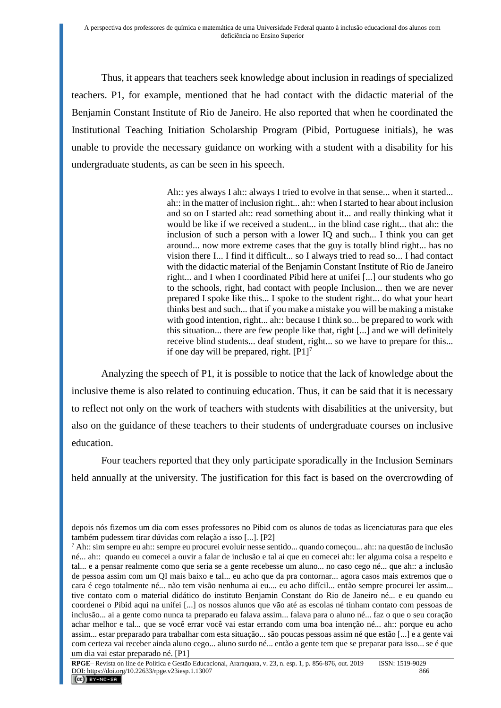Thus, it appears that teachers seek knowledge about inclusion in readings of specialized teachers. P1, for example, mentioned that he had contact with the didactic material of the Benjamin Constant Institute of Rio de Janeiro. He also reported that when he coordinated the Institutional Teaching Initiation Scholarship Program (Pibid, Portuguese initials), he was unable to provide the necessary guidance on working with a student with a disability for his undergraduate students, as can be seen in his speech.

> Ah:: yes always I ah:: always I tried to evolve in that sense... when it started... ah:: in the matter of inclusion right... ah:: when I started to hear about inclusion and so on I started ah:: read something about it... and really thinking what it would be like if we received a student... in the blind case right... that ah:: the inclusion of such a person with a lower IQ and such... I think you can get around... now more extreme cases that the guy is totally blind right... has no vision there I... I find it difficult... so I always tried to read so... I had contact with the didactic material of the Benjamin Constant Institute of Rio de Janeiro right... and I when I coordinated Pibid here at unifei [...] our students who go to the schools, right, had contact with people Inclusion... then we are never prepared I spoke like this... I spoke to the student right... do what your heart thinks best and such... that if you make a mistake you will be making a mistake with good intention, right... ah:: because I think so... be prepared to work with this situation... there are few people like that, right [...] and we will definitely receive blind students... deaf student, right... so we have to prepare for this... if one day will be prepared, right.  $[P1]$ <sup>7</sup>

Analyzing the speech of P1, it is possible to notice that the lack of knowledge about the inclusive theme is also related to continuing education. Thus, it can be said that it is necessary to reflect not only on the work of teachers with students with disabilities at the university, but also on the guidance of these teachers to their students of undergraduate courses on inclusive education.

Four teachers reported that they only participate sporadically in the Inclusion Seminars held annually at the university. The justification for this fact is based on the overcrowding of

depois nós fizemos um dia com esses professores no Pibid com os alunos de todas as licenciaturas para que eles também pudessem tirar dúvidas com relação a isso [...]. [P2]

<sup>7</sup> Ah:: sim sempre eu ah:: sempre eu procurei evoluir nesse sentido... quando começou... ah:: na questão de inclusão né... ah:: quando eu comecei a ouvir a falar de inclusão e tal ai que eu comecei ah:: ler alguma coisa a respeito e tal... e a pensar realmente como que seria se a gente recebesse um aluno... no caso cego né... que ah:: a inclusão de pessoa assim com um QI mais baixo e tal... eu acho que da pra contornar... agora casos mais extremos que o cara é cego totalmente né... não tem visão nenhuma ai eu.... eu acho difícil... então sempre procurei ler assim... tive contato com o material didático do instituto Benjamin Constant do Rio de Janeiro né... e eu quando eu coordenei o Pibid aqui na unifei [...] os nossos alunos que vão até as escolas né tinham contato com pessoas de inclusão... ai a gente como nunca ta preparado eu falava assim... falava para o aluno né... faz o que o seu coração achar melhor e tal... que se você errar você vai estar errando com uma boa intenção né... ah:: porque eu acho assim... estar preparado para trabalhar com esta situação... são poucas pessoas assim né que estão [...] e a gente vai com certeza vai receber ainda aluno cego... aluno surdo né... então a gente tem que se preparar para isso... se é que um dia vai estar preparado né. [P1]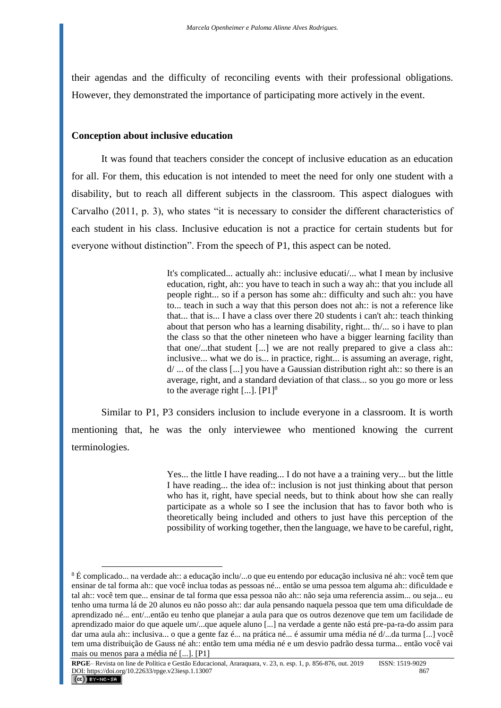their agendas and the difficulty of reconciling events with their professional obligations. However, they demonstrated the importance of participating more actively in the event.

### **Conception about inclusive education**

It was found that teachers consider the concept of inclusive education as an education for all. For them, this education is not intended to meet the need for only one student with a disability, but to reach all different subjects in the classroom. This aspect dialogues with Carvalho (2011, p. 3), who states "it is necessary to consider the different characteristics of each student in his class. Inclusive education is not a practice for certain students but for everyone without distinction". From the speech of P1, this aspect can be noted.

> It's complicated... actually ah:: inclusive educati/... what I mean by inclusive education, right, ah:: you have to teach in such a way ah:: that you include all people right... so if a person has some ah:: difficulty and such ah:: you have to... teach in such a way that this person does not ah:: is not a reference like that... that is... I have a class over there 20 students i can't ah:: teach thinking about that person who has a learning disability, right... th/... so i have to plan the class so that the other nineteen who have a bigger learning facility than that one/...that student [...] we are not really prepared to give a class ah:: inclusive... what we do is... in practice, right... is assuming an average, right, d/ ... of the class [...] you have a Gaussian distribution right ah:: so there is an average, right, and a standard deviation of that class... so you go more or less to the average right  $[...]$ .  $[P1]$ <sup>8</sup>

Similar to P1, P3 considers inclusion to include everyone in a classroom. It is worth mentioning that, he was the only interviewee who mentioned knowing the current terminologies.

> Yes... the little I have reading... I do not have a a training very... but the little I have reading... the idea of:: inclusion is not just thinking about that person who has it, right, have special needs, but to think about how she can really participate as a whole so I see the inclusion that has to favor both who is theoretically being included and others to just have this perception of the possibility of working together, then the language, we have to be careful, right,

 $8 \text{ E}$  complicado... na verdade ah:: a educação inclu/...o que eu entendo por educação inclusiva né ah:: você tem que ensinar de tal forma ah:: que você inclua todas as pessoas né... então se uma pessoa tem alguma ah:: dificuldade e tal ah:: você tem que... ensinar de tal forma que essa pessoa não ah:: não seja uma referencia assim... ou seja... eu tenho uma turma lá de 20 alunos eu não posso ah:: dar aula pensando naquela pessoa que tem uma dificuldade de aprendizado né... ent/...então eu tenho que planejar a aula para que os outros dezenove que tem um facilidade de aprendizado maior do que aquele um/...que aquele aluno [...] na verdade a gente não está pre-pa-ra-do assim para dar uma aula ah:: inclusiva... o que a gente faz é... na prática né... é assumir uma média né d/...da turma [...] você tem uma distribuição de Gauss né ah:: então tem uma média né e um desvio padrão dessa turma... então você vai mais ou menos para a média né [...]. [P1]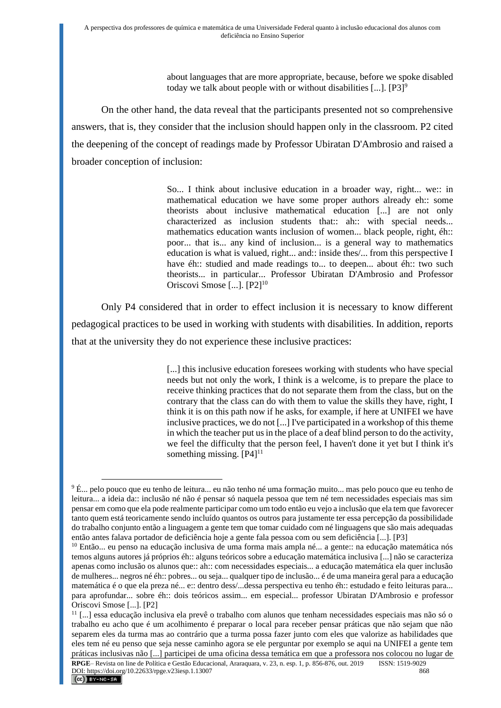about languages that are more appropriate, because, before we spoke disabled today we talk about people with or without disabilities  $[...]$ . [P3]<sup>9</sup>

On the other hand, the data reveal that the participants presented not so comprehensive answers, that is, they consider that the inclusion should happen only in the classroom. P2 cited the deepening of the concept of readings made by Professor Ubiratan D'Ambrosio and raised a broader conception of inclusion:

> So... I think about inclusive education in a broader way, right... we:: in mathematical education we have some proper authors already eh:: some theorists about inclusive mathematical education [...] are not only characterized as inclusion students that:: ah:: with special needs... mathematics education wants inclusion of women... black people, right, éh:: poor... that is... any kind of inclusion... is a general way to mathematics education is what is valued, right... and:: inside thes/... from this perspective I have éh:: studied and made readings to... to deepen... about éh:: two such theorists... in particular... Professor Ubiratan D'Ambrosio and Professor Oriscovi Smose [...]. [P2]<sup>10</sup>

Only P4 considered that in order to effect inclusion it is necessary to know different pedagogical practices to be used in working with students with disabilities. In addition, reports that at the university they do not experience these inclusive practices:

> [...] this inclusive education foresees working with students who have special needs but not only the work, I think is a welcome, is to prepare the place to receive thinking practices that do not separate them from the class, but on the contrary that the class can do with them to value the skills they have, right, I think it is on this path now if he asks, for example, if here at UNIFEI we have inclusive practices, we do not [...] I've participated in a workshop of this theme in which the teacher put us in the place of a deaf blind person to do the activity, we feel the difficulty that the person feel, I haven't done it yet but I think it's something missing.  $[P4]$ <sup>11</sup>

<sup>&</sup>lt;sup>9</sup> É... pelo pouco que eu tenho de leitura... eu não tenho né uma formação muito... mas pelo pouco que eu tenho de leitura... a ideia da:: inclusão né não é pensar só naquela pessoa que tem né tem necessidades especiais mas sim pensar em como que ela pode realmente participar como um todo então eu vejo a inclusão que ela tem que favorecer tanto quem está teoricamente sendo incluído quantos os outros para justamente ter essa percepção da possibilidade do trabalho conjunto então a linguagem a gente tem que tomar cuidado com né linguagens que são mais adequadas então antes falava portador de deficiência hoje a gente fala pessoa com ou sem deficiência [...]. [P3]

<sup>10</sup> Então... eu penso na educação inclusiva de uma forma mais ampla né... a gente:: na educação matemática nós temos alguns autores já próprios éh:: alguns teóricos sobre a educação matemática inclusiva [...] não se caracteriza apenas como inclusão os alunos que:: ah:: com necessidades especiais... a educação matemática ela quer inclusão de mulheres... negros né éh:: pobres... ou seja... qualquer tipo de inclusão... é de uma maneira geral para a educação matemática é o que ela preza né... e:: dentro dess/...dessa perspectiva eu tenho éh:: estudado e feito leituras para... para aprofundar... sobre éh:: dois teóricos assim... em especial... professor Ubiratan D'Ambrosio e professor Oriscovi Smose [...]. [P2]

<sup>11</sup> [...] essa educação inclusiva ela prevê o trabalho com alunos que tenham necessidades especiais mas não só o trabalho eu acho que é um acolhimento é preparar o local para receber pensar práticas que não sejam que não separem eles da turma mas ao contrário que a turma possa fazer junto com eles que valorize as habilidades que eles tem né eu penso que seja nesse caminho agora se ele perguntar por exemplo se aqui na UNIFEI a gente tem práticas inclusivas não [...] participei de uma oficina dessa temática em que a professora nos colocou no lugar de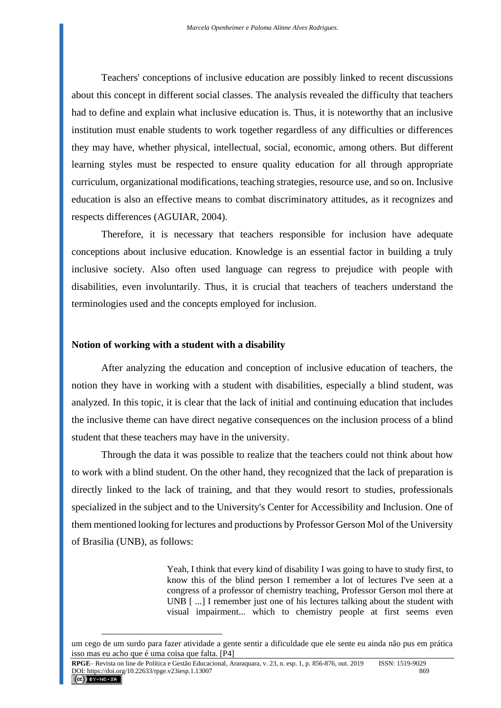Teachers' conceptions of inclusive education are possibly linked to recent discussions about this concept in different social classes. The analysis revealed the difficulty that teachers had to define and explain what inclusive education is. Thus, it is noteworthy that an inclusive institution must enable students to work together regardless of any difficulties or differences they may have, whether physical, intellectual, social, economic, among others. But different learning styles must be respected to ensure quality education for all through appropriate curriculum, organizational modifications, teaching strategies, resource use, and so on. Inclusive education is also an effective means to combat discriminatory attitudes, as it recognizes and respects differences (AGUIAR, 2004).

Therefore, it is necessary that teachers responsible for inclusion have adequate conceptions about inclusive education. Knowledge is an essential factor in building a truly inclusive society. Also often used language can regress to prejudice with people with disabilities, even involuntarily. Thus, it is crucial that teachers of teachers understand the terminologies used and the concepts employed for inclusion.

#### **Notion of working with a student with a disability**

After analyzing the education and conception of inclusive education of teachers, the notion they have in working with a student with disabilities, especially a blind student, was analyzed. In this topic, it is clear that the lack of initial and continuing education that includes the inclusive theme can have direct negative consequences on the inclusion process of a blind student that these teachers may have in the university.

Through the data it was possible to realize that the teachers could not think about how to work with a blind student. On the other hand, they recognized that the lack of preparation is directly linked to the lack of training, and that they would resort to studies, professionals specialized in the subject and to the University's Center for Accessibility and Inclusion. One of them mentioned looking for lectures and productions by Professor Gerson Mol of the University of Brasilia (UNB), as follows:

> Yeah, I think that every kind of disability I was going to have to study first, to know this of the blind person I remember a lot of lectures I've seen at a congress of a professor of chemistry teaching, Professor Gerson mol there at UNB [ ...] I remember just one of his lectures talking about the student with visual impairment... which to chemistry people at first seems even

um cego de um surdo para fazer atividade a gente sentir a dificuldade que ele sente eu ainda não pus em prática isso mas eu acho que é uma coisa que falta. [P4]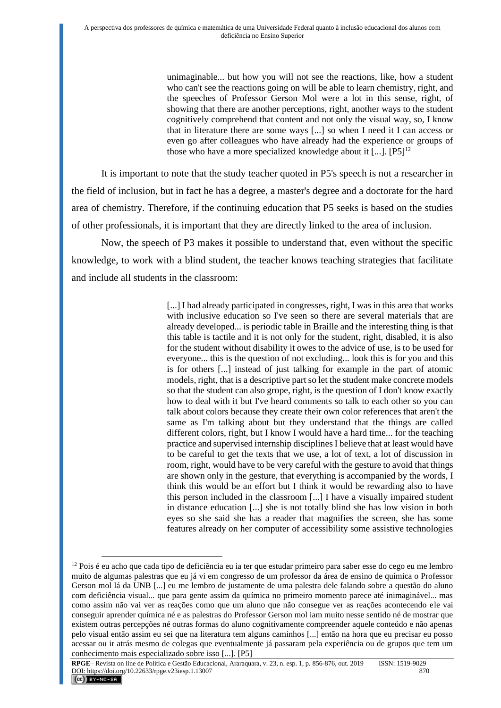unimaginable... but how you will not see the reactions, like, how a student who can't see the reactions going on will be able to learn chemistry, right, and the speeches of Professor Gerson Mol were a lot in this sense, right, of showing that there are another perceptions, right, another ways to the student cognitively comprehend that content and not only the visual way, so, I know that in literature there are some ways [...] so when I need it I can access or even go after colleagues who have already had the experience or groups of those who have a more specialized knowledge about it  $[\dots]$ .  $[P5]^{12}$ 

It is important to note that the study teacher quoted in P5's speech is not a researcher in the field of inclusion, but in fact he has a degree, a master's degree and a doctorate for the hard area of chemistry. Therefore, if the continuing education that P5 seeks is based on the studies of other professionals, it is important that they are directly linked to the area of inclusion.

Now, the speech of P3 makes it possible to understand that, even without the specific knowledge, to work with a blind student, the teacher knows teaching strategies that facilitate and include all students in the classroom:

> [...] I had already participated in congresses, right, I was in this area that works with inclusive education so I've seen so there are several materials that are already developed... is periodic table in Braille and the interesting thing is that this table is tactile and it is not only for the student, right, disabled, it is also for the student without disability it owes to the advice of use, is to be used for everyone... this is the question of not excluding... look this is for you and this is for others [...] instead of just talking for example in the part of atomic models, right, that is a descriptive part so let the student make concrete models so that the student can also grope, right, is the question of I don't know exactly how to deal with it but I've heard comments so talk to each other so you can talk about colors because they create their own color references that aren't the same as I'm talking about but they understand that the things are called different colors, right, but I know I would have a hard time... for the teaching practice and supervised internship disciplines I believe that at least would have to be careful to get the texts that we use, a lot of text, a lot of discussion in room, right, would have to be very careful with the gesture to avoid that things are shown only in the gesture, that everything is accompanied by the words, I think this would be an effort but I think it would be rewarding also to have this person included in the classroom [...] I have a visually impaired student in distance education [...] she is not totally blind she has low vision in both eyes so she said she has a reader that magnifies the screen, she has some features already on her computer of accessibility some assistive technologies

 $12$  Pois é eu acho que cada tipo de deficiência eu ia ter que estudar primeiro para saber esse do cego eu me lembro muito de algumas palestras que eu já vi em congresso de um professor da área de ensino de química o Professor Gerson mol lá da UNB [...] eu me lembro de justamente de uma palestra dele falando sobre a questão do aluno com deficiência visual... que para gente assim da química no primeiro momento parece até inimaginável... mas como assim não vai ver as reações como que um aluno que não consegue ver as reações acontecendo ele vai conseguir aprender química né e as palestras do Professor Gerson mol iam muito nesse sentido né de mostrar que existem outras percepções né outras formas do aluno cognitivamente compreender aquele conteúdo e não apenas pelo visual então assim eu sei que na literatura tem alguns caminhos [...] então na hora que eu precisar eu posso acessar ou ir atrás mesmo de colegas que eventualmente já passaram pela experiência ou de grupos que tem um conhecimento mais especializado sobre isso [...]. [P5]

**RPGE**– Revista on line de Política e Gestão Educacional, Araraquara, v. 23, n. esp. 1, p. 856-876, out. 2019 ISSN: 1519-9029 DOI: https://doi.org/10.22633/rpge.v23iesp.1.13007 870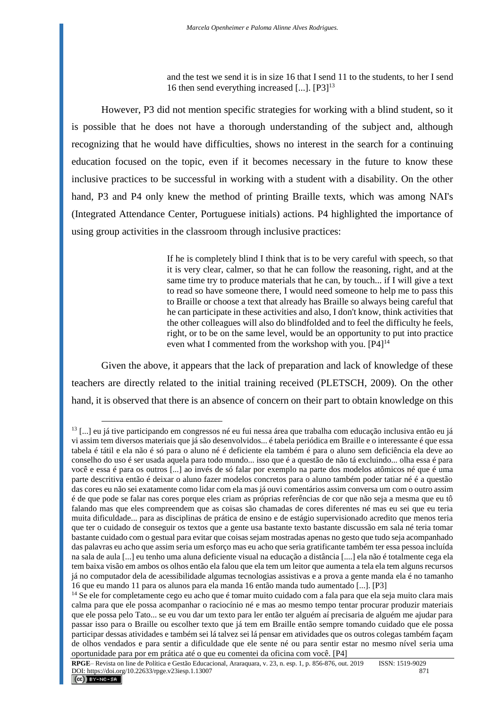and the test we send it is in size 16 that I send 11 to the students, to her I send 16 then send everything increased  $[...]$ .  $[P3]$ <sup>13</sup>

However, P3 did not mention specific strategies for working with a blind student, so it is possible that he does not have a thorough understanding of the subject and, although recognizing that he would have difficulties, shows no interest in the search for a continuing education focused on the topic, even if it becomes necessary in the future to know these inclusive practices to be successful in working with a student with a disability. On the other hand, P3 and P4 only knew the method of printing Braille texts, which was among NAI's (Integrated Attendance Center, Portuguese initials) actions. P4 highlighted the importance of using group activities in the classroom through inclusive practices:

> If he is completely blind I think that is to be very careful with speech, so that it is very clear, calmer, so that he can follow the reasoning, right, and at the same time try to produce materials that he can, by touch... if I will give a text to read so have someone there, I would need someone to help me to pass this to Braille or choose a text that already has Braille so always being careful that he can participate in these activities and also, I don't know, think activities that the other colleagues will also do blindfolded and to feel the difficulty he feels, right, or to be on the same level, would be an opportunity to put into practice even what I commented from the workshop with you. [P4]<sup>14</sup>

Given the above, it appears that the lack of preparation and lack of knowledge of these teachers are directly related to the initial training received (PLETSCH, 2009). On the other hand, it is observed that there is an absence of concern on their part to obtain knowledge on this

<sup>&</sup>lt;sup>13</sup> [...] eu já tive participando em congressos né eu fui nessa área que trabalha com educação inclusiva então eu já vi assim tem diversos materiais que já são desenvolvidos... é tabela periódica em Braille e o interessante é que essa tabela é tátil e ela não é só para o aluno né é deficiente ela também é para o aluno sem deficiência ela deve ao conselho do uso é ser usada aquela para todo mundo... isso que é a questão de não tá excluindo... olha essa é para você e essa é para os outros [...] ao invés de só falar por exemplo na parte dos modelos atômicos né que é uma parte descritiva então é deixar o aluno fazer modelos concretos para o aluno também poder tatiar né é a questão das cores eu não sei exatamente como lidar com ela mas já ouvi comentários assim conversa um com o outro assim é de que pode se falar nas cores porque eles criam as próprias referências de cor que não seja a mesma que eu tô falando mas que eles compreendem que as coisas são chamadas de cores diferentes né mas eu sei que eu teria muita dificuldade... para as disciplinas de prática de ensino e de estágio supervisionado acredito que menos teria que ter o cuidado de conseguir os textos que a gente usa bastante texto bastante discussão em sala né teria tomar bastante cuidado com o gestual para evitar que coisas sejam mostradas apenas no gesto que tudo seja acompanhado das palavras eu acho que assim seria um esforço mas eu acho que seria gratificante também ter essa pessoa incluída na sala de aula [...] eu tenho uma aluna deficiente visual na educação a distância [....] ela não é totalmente cega ela tem baixa visão em ambos os olhos então ela falou que ela tem um leitor que aumenta a tela ela tem alguns recursos já no computador dela de acessibilidade algumas tecnologias assistivas e a prova a gente manda ela é no tamanho 16 que eu mando 11 para os alunos para ela manda 16 então manda tudo aumentado [...]. [P3]

<sup>&</sup>lt;sup>14</sup> Se ele for completamente cego eu acho que é tomar muito cuidado com a fala para que ela seja muito clara mais calma para que ele possa acompanhar o raciocínio né e mas ao mesmo tempo tentar procurar produzir materiais que ele possa pelo Tato... se eu vou dar um texto para ler então ter alguém aí precisaria de alguém me ajudar para passar isso para o Braille ou escolher texto que já tem em Braille então sempre tomando cuidado que ele possa participar dessas atividades e também sei lá talvez sei lá pensar em atividades que os outros colegas também façam de olhos vendados e para sentir a dificuldade que ele sente né ou para sentir estar no mesmo nível seria uma oportunidade para por em prática até o que eu comentei da oficina com você. [P4]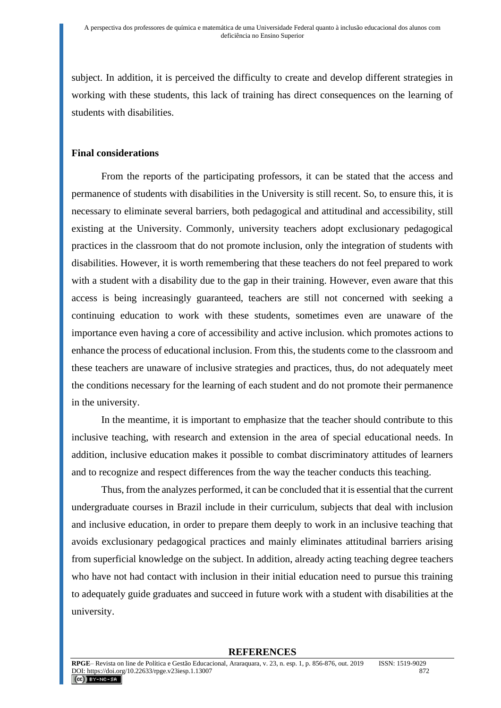subject. In addition, it is perceived the difficulty to create and develop different strategies in working with these students, this lack of training has direct consequences on the learning of students with disabilities.

# **Final considerations**

From the reports of the participating professors, it can be stated that the access and permanence of students with disabilities in the University is still recent. So, to ensure this, it is necessary to eliminate several barriers, both pedagogical and attitudinal and accessibility, still existing at the University. Commonly, university teachers adopt exclusionary pedagogical practices in the classroom that do not promote inclusion, only the integration of students with disabilities. However, it is worth remembering that these teachers do not feel prepared to work with a student with a disability due to the gap in their training. However, even aware that this access is being increasingly guaranteed, teachers are still not concerned with seeking a continuing education to work with these students, sometimes even are unaware of the importance even having a core of accessibility and active inclusion. which promotes actions to enhance the process of educational inclusion. From this, the students come to the classroom and these teachers are unaware of inclusive strategies and practices, thus, do not adequately meet the conditions necessary for the learning of each student and do not promote their permanence in the university.

In the meantime, it is important to emphasize that the teacher should contribute to this inclusive teaching, with research and extension in the area of special educational needs. In addition, inclusive education makes it possible to combat discriminatory attitudes of learners and to recognize and respect differences from the way the teacher conducts this teaching.

Thus, from the analyzes performed, it can be concluded that it is essential that the current undergraduate courses in Brazil include in their curriculum, subjects that deal with inclusion and inclusive education, in order to prepare them deeply to work in an inclusive teaching that avoids exclusionary pedagogical practices and mainly eliminates attitudinal barriers arising from superficial knowledge on the subject. In addition, already acting teaching degree teachers who have not had contact with inclusion in their initial education need to pursue this training to adequately guide graduates and succeed in future work with a student with disabilities at the university.

#### **REFERENCES**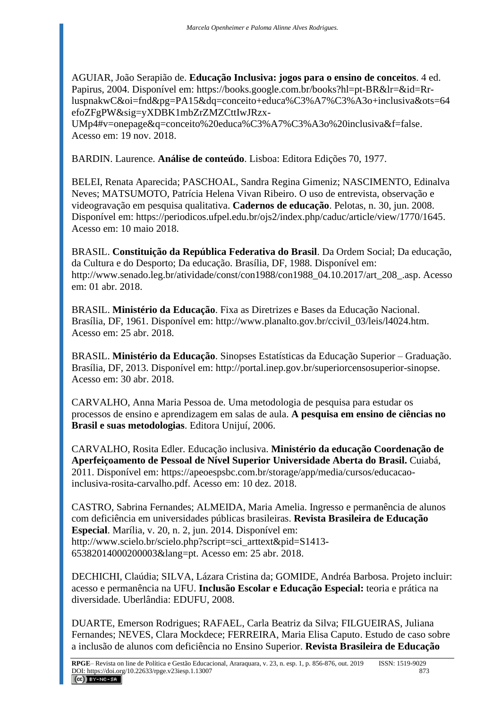AGUIAR, João Serapião de. **Educação Inclusiva: jogos para o ensino de conceitos**. 4 ed. Papirus, 2004. Disponível em: [https://books.google.com.br/books?hl=pt-BR&lr=&id=Rr](https://books.google.com.br/books?hl=pt-BR&lr=&id=Rr-luspnakwC&oi=fnd&pg=PA15&dq=conceito+educa%C3%A7%C3%A3o+inclusiva&ots=64efoZFgPW&sig=yXDBK1mbZrZMZCttIwJRzx-UMp4#v=onepage&q=conceito%20educa%C3%A7%C3%A3o%20inclusiva&f=false)[luspnakwC&oi=fnd&pg=PA15&dq=conceito+educa%C3%A7%C3%A3o+inclusiva&ots=64](https://books.google.com.br/books?hl=pt-BR&lr=&id=Rr-luspnakwC&oi=fnd&pg=PA15&dq=conceito+educa%C3%A7%C3%A3o+inclusiva&ots=64efoZFgPW&sig=yXDBK1mbZrZMZCttIwJRzx-UMp4#v=onepage&q=conceito%20educa%C3%A7%C3%A3o%20inclusiva&f=false) [efoZFgPW&sig=yXDBK1mbZrZMZCttIwJRzx-](https://books.google.com.br/books?hl=pt-BR&lr=&id=Rr-luspnakwC&oi=fnd&pg=PA15&dq=conceito+educa%C3%A7%C3%A3o+inclusiva&ots=64efoZFgPW&sig=yXDBK1mbZrZMZCttIwJRzx-UMp4#v=onepage&q=conceito%20educa%C3%A7%C3%A3o%20inclusiva&f=false)

[UMp4#v=onepage&q=conceito%20educa%C3%A7%C3%A3o%20inclusiva&f=false.](https://books.google.com.br/books?hl=pt-BR&lr=&id=Rr-luspnakwC&oi=fnd&pg=PA15&dq=conceito+educa%C3%A7%C3%A3o+inclusiva&ots=64efoZFgPW&sig=yXDBK1mbZrZMZCttIwJRzx-UMp4#v=onepage&q=conceito%20educa%C3%A7%C3%A3o%20inclusiva&f=false) Acesso em: 19 nov. 2018.

BARDIN. Laurence. **Análise de conteúdo**. Lisboa: Editora Edições 70, 1977.

BELEI, Renata Aparecida; PASCHOAL, Sandra Regina Gimeniz; NASCIMENTO, Edinalva Neves; MATSUMOTO, Patrícia Helena Vivan Ribeiro. O uso de entrevista, observação e videogravação em pesquisa qualitativa. **Cadernos de educação**. Pelotas, n. 30, jun. 2008. Disponível em: [https://periodicos.ufpel.edu.br/ojs2/index.php/caduc/article/view/1770/1645.](https://periodicos.ufpel.edu.br/ojs2/index.php/caduc/article/view/1770/1645) Acesso em: 10 maio 2018.

BRASIL. **Constituição da República Federativa do Brasil**. Da Ordem Social; Da educação, da Cultura e do Desporto; Da educação. Brasília, DF, 1988. Disponível em: [http://www.senado.leg.br/atividade/const/con1988/con1988\\_04.10.2017/art\\_208\\_.asp.](http://www.senado.leg.br/atividade/const/con1988/con1988_04.10.2017/art_208_.asp) Acesso em: 01 abr. 2018.

BRASIL. **Ministério da Educação**. Fixa as Diretrizes e Bases da Educação Nacional. Brasília, DF, 1961. Disponível em: http://www.planalto.gov.br/ccivil\_03/leis/l4024.htm. Acesso em: 25 abr. 2018.

BRASIL. **Ministério da Educação**. Sinopses Estatísticas da Educação Superior – Graduação. Brasília, DF, 2013. Disponível em: http://portal.inep.gov.br/superiorcensosuperior-sinopse. Acesso em: 30 abr. 2018.

CARVALHO, Anna Maria Pessoa de. Uma metodologia de pesquisa para estudar os processos de ensino e aprendizagem em salas de aula. **A pesquisa em ensino de ciências no Brasil e suas metodologias**. Editora Unijuí, 2006.

CARVALHO, Rosita Edler. Educação inclusiva. **Ministério da educação Coordenação de Aperfeiçoamento de Pessoal de Nível Superior Universidade Aberta do Brasil.** Cuiabá, 2011. Disponível em: [https://apeoespsbc.com.br/storage/app/media/cursos/educacao](https://apeoespsbc.com.br/storage/app/media/cursos/educacao-inclusiva-rosita-carvalho.pdf)[inclusiva-rosita-carvalho.pdf.](https://apeoespsbc.com.br/storage/app/media/cursos/educacao-inclusiva-rosita-carvalho.pdf) Acesso em: 10 dez. 2018.

CASTRO, Sabrina Fernandes; ALMEIDA, Maria Amelia. Ingresso e permanência de alunos com deficiência em universidades públicas brasileiras. **Revista Brasileira de Educação Especial**. Marília, v. 20, n. 2, jun. 2014. Disponível em: [http://www.scielo.br/scielo.php?script=sci\\_arttext&pid=S1413-](http://www.scielo.br/scielo.php?script=sci_arttext&pid=S1413-65382014000200003&lang=pt) [65382014000200003&lang=pt.](http://www.scielo.br/scielo.php?script=sci_arttext&pid=S1413-65382014000200003&lang=pt) Acesso em: 25 abr. 2018.

DECHICHI, Claúdia; SILVA, Lázara Cristina da; GOMIDE, Andréa Barbosa. Projeto incluir: acesso e permanência na UFU. **Inclusão Escolar e Educação Especial:** teoria e prática na diversidade. Uberlândia: EDUFU, 2008.

DUARTE, Emerson Rodrigues; RAFAEL, Carla Beatriz da Silva; FILGUEIRAS, Juliana Fernandes; NEVES, Clara Mockdece; FERREIRA, Maria Elisa Caputo. Estudo de caso sobre a inclusão de alunos com deficiência no Ensino Superior. **Revista Brasileira de Educação**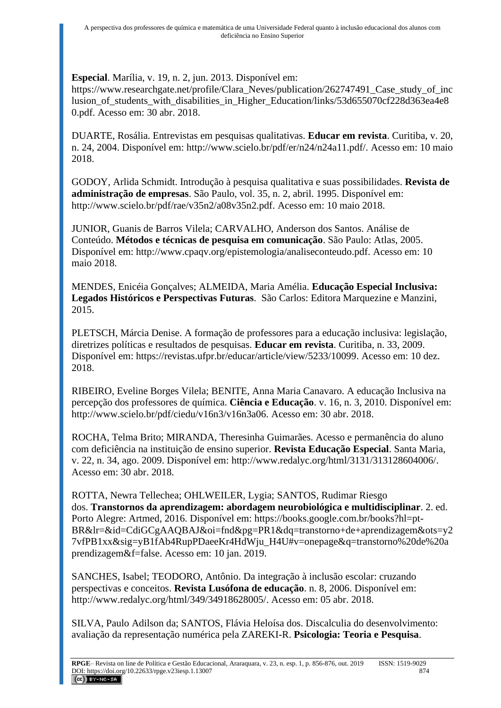**Especial**. Marília, v. 19, n. 2, jun. 2013. Disponível em:

[https://www.researchgate.net/profile/Clara\\_Neves/publication/262747491\\_Case\\_study\\_of\\_inc](https://www.researchgate.net/profile/Clara_Neves/publication/262747491_Case_study_of_inclusion_of_students_with_disabilities_in_Higher_Education/links/53d655070cf228d363ea4e80.pdf) [lusion\\_of\\_students\\_with\\_disabilities\\_in\\_Higher\\_Education/links/53d655070cf228d363ea4e8](https://www.researchgate.net/profile/Clara_Neves/publication/262747491_Case_study_of_inclusion_of_students_with_disabilities_in_Higher_Education/links/53d655070cf228d363ea4e80.pdf) [0.pdf.](https://www.researchgate.net/profile/Clara_Neves/publication/262747491_Case_study_of_inclusion_of_students_with_disabilities_in_Higher_Education/links/53d655070cf228d363ea4e80.pdf) Acesso em: 30 abr. 2018.

DUARTE, Rosália. Entrevistas em pesquisas qualitativas. **Educar em revista**. Curitiba, v. 20, n. 24, 2004. Disponível em: [http://www.scielo.br/pdf/er/n24/n24a11.pdf/.](http://www.scielo.br/pdf/er/n24/n24a11.pdf/) Acesso em: 10 maio 2018.

GODOY, Arlida Schmidt. Introdução à pesquisa qualitativa e suas possibilidades. **Revista de administração de empresas**. São Paulo, vol. 35, n. 2, abril. 1995. Disponível em: [http://www.scielo.br/pdf/rae/v35n2/a08v35n2.pdf.](http://www.scielo.br/pdf/rae/v35n2/a08v35n2.pdf) Acesso em: 10 maio 2018.

JUNIOR, Guanis de Barros Vilela; CARVALHO, Anderson dos Santos. Análise de Conteúdo. **Métodos e técnicas de pesquisa em comunicação**. São Paulo: Atlas, 2005. Disponível em: [http://www.cpaqv.org/epistemologia/analiseconteudo.pdf.](http://www.cpaqv.org/epistemologia/analiseconteudo.pdf) Acesso em: 10 maio 2018.

MENDES, Enicéia Gonçalves; ALMEIDA, Maria Amélia. **Educação Especial Inclusiva: Legados Históricos e Perspectivas Futuras**. São Carlos: Editora Marquezine e Manzini, 2015.

PLETSCH, Márcia Denise. A formação de professores para a educação inclusiva: legislação, diretrizes políticas e resultados de pesquisas. **Educar em revista**. Curitiba, n. 33, 2009. Disponível em: [https://revistas.ufpr.br/educar/article/view/5233/10099.](https://revistas.ufpr.br/educar/article/view/5233/10099) Acesso em: 10 dez. 2018.

RIBEIRO, Eveline Borges Vilela; BENITE, Anna Maria Canavaro. A educação Inclusiva na percepção dos professores de química. **Ciência e Educação**. v. 16, n. 3, 2010. Disponível em: [http://www.scielo.br/pdf/ciedu/v16n3/v16n3a06.](http://www.scielo.br/pdf/ciedu/v16n3/v16n3a06) Acesso em: 30 abr. 2018.

ROCHA, Telma Brito; MIRANDA, Theresinha Guimarães. Acesso e permanência do aluno com deficiência na instituição de ensino superior. **Revista Educação Especial**. Santa Maria, v. 22, n. 34, ago. 2009. Disponível em: [http://www.redalyc.org/html/3131/313128604006/.](http://www.redalyc.org/html/3131/313128604006/) Acesso em: 30 abr. 2018.

ROTTA, Newra Tellechea; OHLWEILER, Lygia; SANTOS, Rudimar Riesgo dos. **Transtornos da aprendizagem: abordagem neurobiológica e multidisciplinar**. 2. ed. Porto Alegre: Artmed, 2016. Disponível em: [https://books.google.com.br/books?hl=pt-](https://books.google.com.br/books?hl=pt-BR&lr=&id=CdiGCgAAQBAJ&oi=fnd&pg=PR1&dq=transtorno+de+aprendizagem&ots=y27vfPB1xx&sig=yB1fAb4RupPDaeeKr4HdWju_H4U#v=onepage&q=transtorno%20de%20aprendizagem&f=false)[BR&lr=&id=CdiGCgAAQBAJ&oi=fnd&pg=PR1&dq=transtorno+de+aprendizagem&ots=y2](https://books.google.com.br/books?hl=pt-BR&lr=&id=CdiGCgAAQBAJ&oi=fnd&pg=PR1&dq=transtorno+de+aprendizagem&ots=y27vfPB1xx&sig=yB1fAb4RupPDaeeKr4HdWju_H4U#v=onepage&q=transtorno%20de%20aprendizagem&f=false) [7vfPB1xx&sig=yB1fAb4RupPDaeeKr4HdWju\\_H4U#v=onepage&q=transtorno%20de%20a](https://books.google.com.br/books?hl=pt-BR&lr=&id=CdiGCgAAQBAJ&oi=fnd&pg=PR1&dq=transtorno+de+aprendizagem&ots=y27vfPB1xx&sig=yB1fAb4RupPDaeeKr4HdWju_H4U#v=onepage&q=transtorno%20de%20aprendizagem&f=false) [prendizagem&f=false.](https://books.google.com.br/books?hl=pt-BR&lr=&id=CdiGCgAAQBAJ&oi=fnd&pg=PR1&dq=transtorno+de+aprendizagem&ots=y27vfPB1xx&sig=yB1fAb4RupPDaeeKr4HdWju_H4U#v=onepage&q=transtorno%20de%20aprendizagem&f=false) Acesso em: 10 jan. 2019.

SANCHES, Isabel; TEODORO, Antônio. Da integração à inclusão escolar: cruzando perspectivas e conceitos. **Revista Lusófona de educação**. n. 8, 2006. Disponível em: http://www.redalyc.org/html/349/34918628005/. Acesso em: 05 abr. 2018.

SILVA, Paulo Adilson da; SANTOS, Flávia Heloísa dos. Discalculia do desenvolvimento: avaliação da representação numérica pela ZAREKI-R. **Psicologia: Teoria e Pesquisa**.